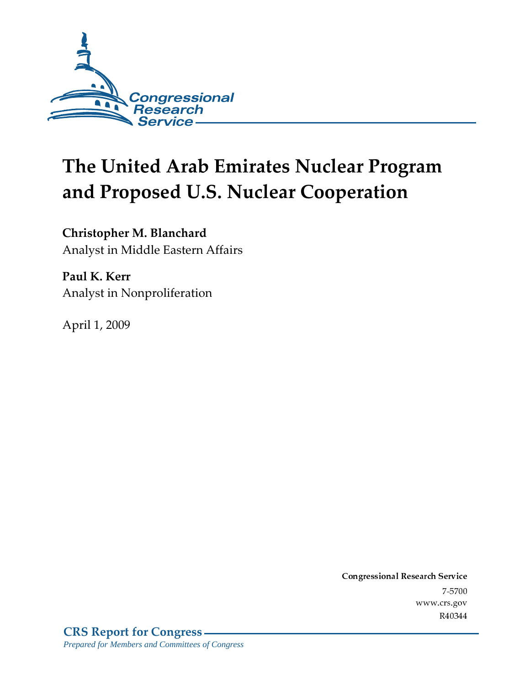

# The United Arab Emirates Nuclear Program and Proposed U.S. Nuclear Cooperation

Christopher M. Blanchard Analyst in Middle Eastern Affairs

Paul K. Kerr Analyst in Nonproliferation

April 1*,* 2009

Conglessional Research Service  $7 - 2700$ www.crs.gov R40344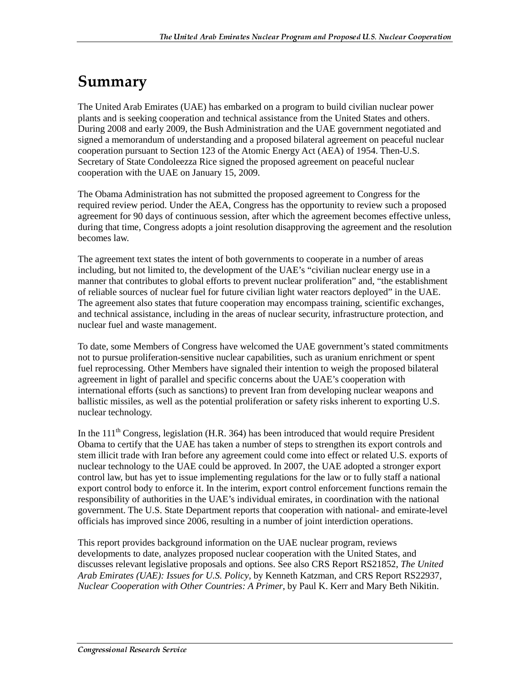# Summary

The United Arab Emirates (UAE) has embarked on a program to build civilian nuclear power plants and is seeking cooperation and technical assistance from the United States and others. During 2008 and early 2009, the Bush Administration and the UAE government negotiated and signed a memorandum of understanding and a proposed bilateral agreement on peaceful nuclear cooperation pursuant to Section 123 of the Atomic Energy Act (AEA) of 1954. Then-U.S. Secretary of State Condoleezza Rice signed the proposed agreement on peaceful nuclear cooperation with the UAE on January 15, 2009.

The Obama Administration has not submitted the proposed agreement to Congress for the required review period. Under the AEA, Congress has the opportunity to review such a proposed agreement for 90 days of continuous session, after which the agreement becomes effective unless, during that time, Congress adopts a joint resolution disapproving the agreement and the resolution becomes law.

The agreement text states the intent of both governments to cooperate in a number of areas including, but not limited to, the development of the UAE's "civilian nuclear energy use in a manner that contributes to global efforts to prevent nuclear proliferation" and, "the establishment of reliable sources of nuclear fuel for future civilian light water reactors deployed" in the UAE. The agreement also states that future cooperation may encompass training, scientific exchanges, and technical assistance, including in the areas of nuclear security, infrastructure protection, and nuclear fuel and waste management.

To date, some Members of Congress have welcomed the UAE government's stated commitments not to pursue proliferation-sensitive nuclear capabilities, such as uranium enrichment or spent fuel reprocessing. Other Members have signaled their intention to weigh the proposed bilateral agreement in light of parallel and specific concerns about the UAE's cooperation with international efforts (such as sanctions) to prevent Iran from developing nuclear weapons and ballistic missiles, as well as the potential proliferation or safety risks inherent to exporting U.S. nuclear technology.

In the  $111<sup>th</sup>$  Congress, legislation (H.R. 364) has been introduced that would require President Obama to certify that the UAE has taken a number of steps to strengthen its export controls and stem illicit trade with Iran before any agreement could come into effect or related U.S. exports of nuclear technology to the UAE could be approved. In 2007, the UAE adopted a stronger export control law, but has yet to issue implementing regulations for the law or to fully staff a national export control body to enforce it. In the interim, export control enforcement functions remain the responsibility of authorities in the UAE's individual emirates, in coordination with the national government. The U.S. State Department reports that cooperation with national- and emirate-level officials has improved since 2006, resulting in a number of joint interdiction operations.

This report provides background information on the UAE nuclear program, reviews developments to date, analyzes proposed nuclear cooperation with the United States, and discusses relevant legislative proposals and options. See also CRS Report RS21852, *The United Arab Emirates (UAE): Issues for U.S. Policy*, by Kenneth Katzman, and CRS Report RS22937, *Nuclear Cooperation with Other Countries: A Primer*, by Paul K. Kerr and Mary Beth Nikitin.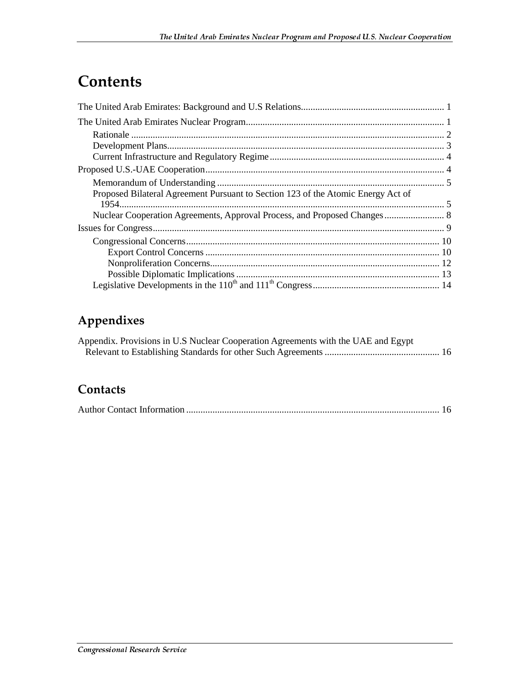# **Contents**

| Proposed Bilateral Agreement Pursuant to Section 123 of the Atomic Energy Act of |  |
|----------------------------------------------------------------------------------|--|
|                                                                                  |  |
|                                                                                  |  |
|                                                                                  |  |
|                                                                                  |  |
|                                                                                  |  |
|                                                                                  |  |
|                                                                                  |  |
|                                                                                  |  |

# Appendixes

| Appendix. Provisions in U.S Nuclear Cooperation Agreements with the UAE and Egypt |  |
|-----------------------------------------------------------------------------------|--|
|                                                                                   |  |

## Contacts

|--|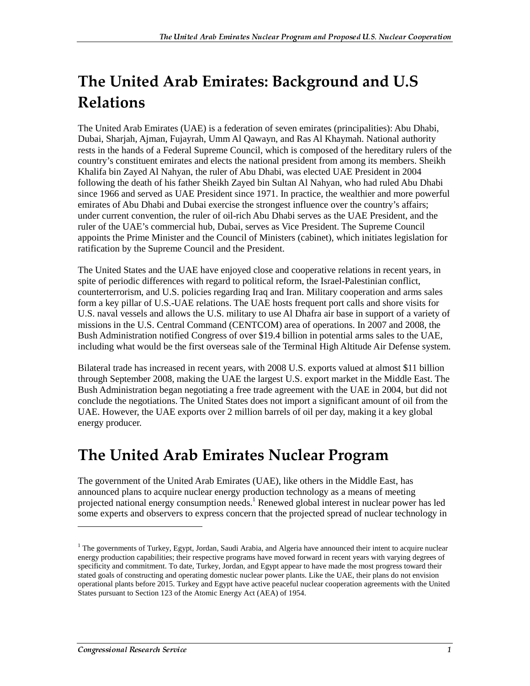# The United Arab Emirates: Background and U.S  $\,$ **Relations**

The United Arab Emirates (UAE) is a federation of seven emirates (principalities): Abu Dhabi, Dubai, Sharjah, Ajman, Fujayrah, Umm Al Qawayn, and Ras Al Khaymah. National authority rests in the hands of a Federal Supreme Council, which is composed of the hereditary rulers of the country's constituent emirates and elects the national president from among its members. Sheikh Khalifa bin Zayed Al Nahyan, the ruler of Abu Dhabi, was elected UAE President in 2004 following the death of his father Sheikh Zayed bin Sultan Al Nahyan, who had ruled Abu Dhabi since 1966 and served as UAE President since 1971. In practice, the wealthier and more powerful emirates of Abu Dhabi and Dubai exercise the strongest influence over the country's affairs; under current convention, the ruler of oil-rich Abu Dhabi serves as the UAE President, and the ruler of the UAE's commercial hub, Dubai, serves as Vice President. The Supreme Council appoints the Prime Minister and the Council of Ministers (cabinet), which initiates legislation for ratification by the Supreme Council and the President.

The United States and the UAE have enjoyed close and cooperative relations in recent years, in spite of periodic differences with regard to political reform, the Israel-Palestinian conflict, counterterrorism, and U.S. policies regarding Iraq and Iran. Military cooperation and arms sales form a key pillar of U.S.-UAE relations. The UAE hosts frequent port calls and shore visits for U.S. naval vessels and allows the U.S. military to use Al Dhafra air base in support of a variety of missions in the U.S. Central Command (CENTCOM) area of operations. In 2007 and 2008, the Bush Administration notified Congress of over \$19.4 billion in potential arms sales to the UAE, including what would be the first overseas sale of the Terminal High Altitude Air Defense system.

Bilateral trade has increased in recent years, with 2008 U.S. exports valued at almost \$11 billion through September 2008, making the UAE the largest U.S. export market in the Middle East. The Bush Administration began negotiating a free trade agreement with the UAE in 2004, but did not conclude the negotiations. The United States does not import a significant amount of oil from the UAE. However, the UAE exports over 2 million barrels of oil per day, making it a key global energy producer.

# The United Arab Emirates Nuclear Program

The government of the United Arab Emirates (UAE), like others in the Middle East, has announced plans to acquire nuclear energy production technology as a means of meeting projected national energy consumption needs.<sup>1</sup> Renewed global interest in nuclear power has led some experts and observers to express concern that the projected spread of nuclear technology in

<sup>&</sup>lt;sup>1</sup> The governments of Turkey, Egypt, Jordan, Saudi Arabia, and Algeria have announced their intent to acquire nuclear energy production capabilities; their respective programs have moved forward in recent years with varying degrees of specificity and commitment. To date, Turkey, Jordan, and Egypt appear to have made the most progress toward their stated goals of constructing and operating domestic nuclear power plants. Like the UAE, their plans do not envision operational plants before 2015. Turkey and Egypt have active peaceful nuclear cooperation agreements with the United States pursuant to Section 123 of the Atomic Energy Act (AEA) of 1954.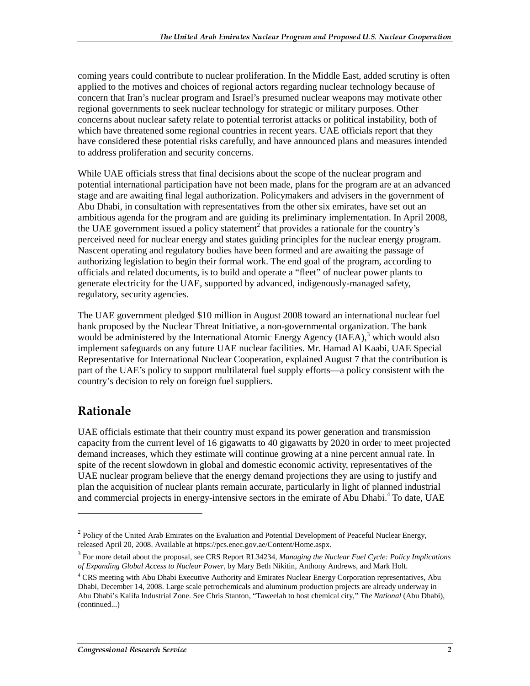coming years could contribute to nuclear proliferation. In the Middle East, added scrutiny is often applied to the motives and choices of regional actors regarding nuclear technology because of concern that Iran's nuclear program and Israel's presumed nuclear weapons may motivate other regional governments to seek nuclear technology for strategic or military purposes. Other concerns about nuclear safety relate to potential terrorist attacks or political instability, both of which have threatened some regional countries in recent years. UAE officials report that they have considered these potential risks carefully, and have announced plans and measures intended to address proliferation and security concerns.

While UAE officials stress that final decisions about the scope of the nuclear program and potential international participation have not been made, plans for the program are at an advanced stage and are awaiting final legal authorization. Policymakers and advisers in the government of Abu Dhabi, in consultation with representatives from the other six emirates, have set out an ambitious agenda for the program and are guiding its preliminary implementation. In April 2008, the UAE government issued a policy statement<sup>2</sup> that provides a rationale for the country's perceived need for nuclear energy and states guiding principles for the nuclear energy program. Nascent operating and regulatory bodies have been formed and are awaiting the passage of authorizing legislation to begin their formal work. The end goal of the program, according to officials and related documents, is to build and operate a "fleet" of nuclear power plants to generate electricity for the UAE, supported by advanced, indigenously-managed safety, regulatory, security agencies.

The UAE government pledged \$10 million in August 2008 toward an international nuclear fuel bank proposed by the Nuclear Threat Initiative, a non-governmental organization. The bank would be administered by the International Atomic Energy Agency (IAEA),<sup>3</sup> which would also implement safeguards on any future UAE nuclear facilities. Mr. Hamad Al Kaabi, UAE Special Representative for International Nuclear Cooperation, explained August 7 that the contribution is part of the UAE's policy to support multilateral fuel supply efforts—a policy consistent with the country's decision to rely on foreign fuel suppliers.

# Rationale

 $\overline{a}$ 

UAE officials estimate that their country must expand its power generation and transmission capacity from the current level of 16 gigawatts to 40 gigawatts by 2020 in order to meet projected demand increases, which they estimate will continue growing at a nine percent annual rate. In spite of the recent slowdown in global and domestic economic activity, representatives of the UAE nuclear program believe that the energy demand projections they are using to justify and plan the acquisition of nuclear plants remain accurate, particularly in light of planned industrial and commercial projects in energy-intensive sectors in the emirate of Abu Dhabi.<sup>4</sup> To date, UAE

<sup>&</sup>lt;sup>2</sup> Policy of the United Arab Emirates on the Evaluation and Potential Development of Peaceful Nuclear Energy, released April 20, 2008. Available at https://pcs.enec.gov.ae/Content/Home.aspx. 3

For more detail about the proposal, see CRS Report RL34234, *Managing the Nuclear Fuel Cycle: Policy Implications of Expanding Global Access to Nuclear Power*, by Mary Beth Nikitin, Anthony Andrews, and Mark Holt.

<sup>&</sup>lt;sup>4</sup> CRS meeting with Abu Dhabi Executive Authority and Emirates Nuclear Energy Corporation representatives, Abu Dhabi, December 14, 2008. Large scale petrochemicals and aluminum production projects are already underway in Abu Dhabi's Kalifa Industrial Zone. See Chris Stanton, "Taweelah to host chemical city," *The National* (Abu Dhabi), (continued...)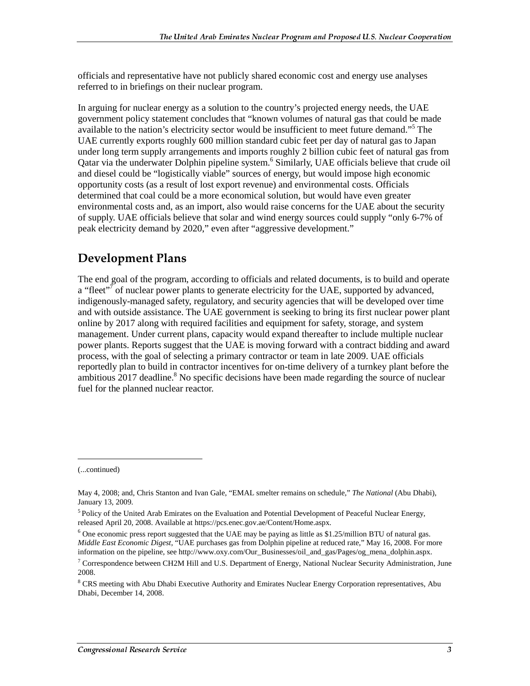officials and representative have not publicly shared economic cost and energy use analyses referred to in briefings on their nuclear program.

In arguing for nuclear energy as a solution to the country's projected energy needs, the UAE government policy statement concludes that "known volumes of natural gas that could be made available to the nation's electricity sector would be insufficient to meet future demand."<sup>5</sup> The UAE currently exports roughly 600 million standard cubic feet per day of natural gas to Japan under long term supply arrangements and imports roughly 2 billion cubic feet of natural gas from Qatar via the underwater Dolphin pipeline system.<sup>6</sup> Similarly, UAE officials believe that crude oil and diesel could be "logistically viable" sources of energy, but would impose high economic opportunity costs (as a result of lost export revenue) and environmental costs. Officials determined that coal could be a more economical solution, but would have even greater environmental costs and, as an import, also would raise concerns for the UAE about the security of supply. UAE officials believe that solar and wind energy sources could supply "only 6-7% of peak electricity demand by 2020," even after "aggressive development."

### **Development Plans**

The end goal of the program, according to officials and related documents, is to build and operate a "fleet"<sup>7</sup> of nuclear power plants to generate electricity for the UAE, supported by advanced, indigenously-managed safety, regulatory, and security agencies that will be developed over time and with outside assistance. The UAE government is seeking to bring its first nuclear power plant online by 2017 along with required facilities and equipment for safety, storage, and system management. Under current plans, capacity would expand thereafter to include multiple nuclear power plants. Reports suggest that the UAE is moving forward with a contract bidding and award process, with the goal of selecting a primary contractor or team in late 2009. UAE officials reportedly plan to build in contractor incentives for on-time delivery of a turnkey plant before the ambitious  $2017$  deadline.<sup>8</sup> No specific decisions have been made regarding the source of nuclear fuel for the planned nuclear reactor.

j

<sup>(...</sup>continued)

May 4, 2008; and, Chris Stanton and Ivan Gale, "EMAL smelter remains on schedule," *The National* (Abu Dhabi), January 13, 2009.

<sup>&</sup>lt;sup>5</sup> Policy of the United Arab Emirates on the Evaluation and Potential Development of Peaceful Nuclear Energy, released April 20, 2008. Available at https://pcs.enec.gov.ae/Content/Home.aspx.

<sup>&</sup>lt;sup>6</sup> One economic press report suggested that the UAE may be paying as little as \$1.25/million BTU of natural gas. *Middle East Economic Digest*, "UAE purchases gas from Dolphin pipeline at reduced rate," May 16, 2008. For more information on the pipeline, see http://www.oxy.com/Our\_Businesses/oil\_and\_gas/Pages/og\_mena\_dolphin.aspx.

 $^7$  Correspondence between CH2M Hill and U.S. Department of Energy, National Nuclear Security Administration, June 2008.

<sup>&</sup>lt;sup>8</sup> CRS meeting with Abu Dhabi Executive Authority and Emirates Nuclear Energy Corporation representatives, Abu Dhabi, December 14, 2008.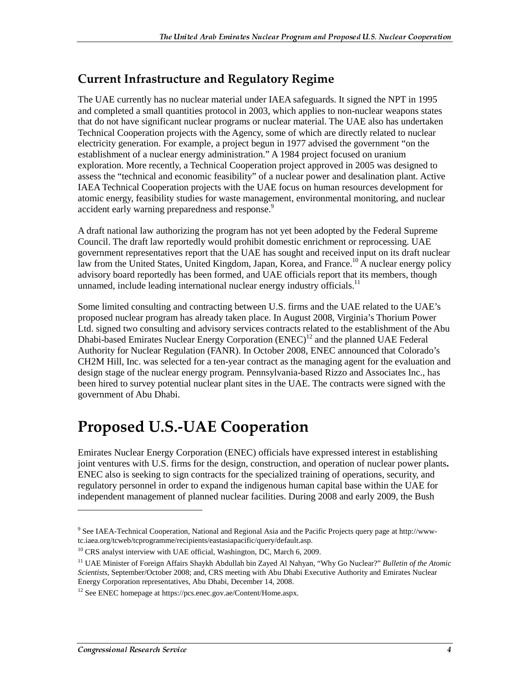## **Current Infrastructure and Regulatory Regime**

The UAE currently has no nuclear material under IAEA safeguards. It signed the NPT in 1995 and completed a small quantities protocol in 2003, which applies to non-nuclear weapons states that do not have significant nuclear programs or nuclear material. The UAE also has undertaken Technical Cooperation projects with the Agency, some of which are directly related to nuclear electricity generation. For example, a project begun in 1977 advised the government "on the establishment of a nuclear energy administration." A 1984 project focused on uranium exploration. More recently, a Technical Cooperation project approved in 2005 was designed to assess the "technical and economic feasibility" of a nuclear power and desalination plant. Active IAEA Technical Cooperation projects with the UAE focus on human resources development for atomic energy, feasibility studies for waste management, environmental monitoring, and nuclear accident early warning preparedness and response.<sup>9</sup>

A draft national law authorizing the program has not yet been adopted by the Federal Supreme Council. The draft law reportedly would prohibit domestic enrichment or reprocessing. UAE government representatives report that the UAE has sought and received input on its draft nuclear law from the United States, United Kingdom, Japan, Korea, and France.<sup>10</sup> A nuclear energy policy advisory board reportedly has been formed, and UAE officials report that its members, though unnamed, include leading international nuclear energy industry officials.<sup>11</sup>

Some limited consulting and contracting between U.S. firms and the UAE related to the UAE's proposed nuclear program has already taken place. In August 2008, Virginia's Thorium Power Ltd. signed two consulting and advisory services contracts related to the establishment of the Abu Dhabi-based Emirates Nuclear Energy Corporation (ENEC)<sup>12</sup> and the planned UAE Federal Authority for Nuclear Regulation (FANR). In October 2008, ENEC announced that Colorado's CH2M Hill, Inc. was selected for a ten-year contract as the managing agent for the evaluation and design stage of the nuclear energy program. Pennsylvania-based Rizzo and Associates Inc., has been hired to survey potential nuclear plant sites in the UAE. The contracts were signed with the government of Abu Dhabi.

# **Proposed U.S.-UAE Cooperation**

Emirates Nuclear Energy Corporation (ENEC) officials have expressed interest in establishing joint ventures with U.S. firms for the design, construction, and operation of nuclear power plants**.**  ENEC also is seeking to sign contracts for the specialized training of operations, security, and regulatory personnel in order to expand the indigenous human capital base within the UAE for independent management of planned nuclear facilities. During 2008 and early 2009, the Bush

<sup>&</sup>lt;sup>9</sup> See IAEA-Technical Cooperation, National and Regional Asia and the Pacific Projects query page at http://wwwtc.iaea.org/tcweb/tcprogramme/recipients/eastasiapacific/query/default.asp.

<sup>&</sup>lt;sup>10</sup> CRS analyst interview with UAE official, Washington, DC, March 6, 2009.

<sup>11</sup> UAE Minister of Foreign Affairs Shaykh Abdullah bin Zayed Al Nahyan, "Why Go Nuclear?" *Bulletin of the Atomic Scientists*, September/October 2008; and, CRS meeting with Abu Dhabi Executive Authority and Emirates Nuclear Energy Corporation representatives, Abu Dhabi, December 14, 2008.

<sup>12</sup> See ENEC homepage at https://pcs.enec.gov.ae/Content/Home.aspx.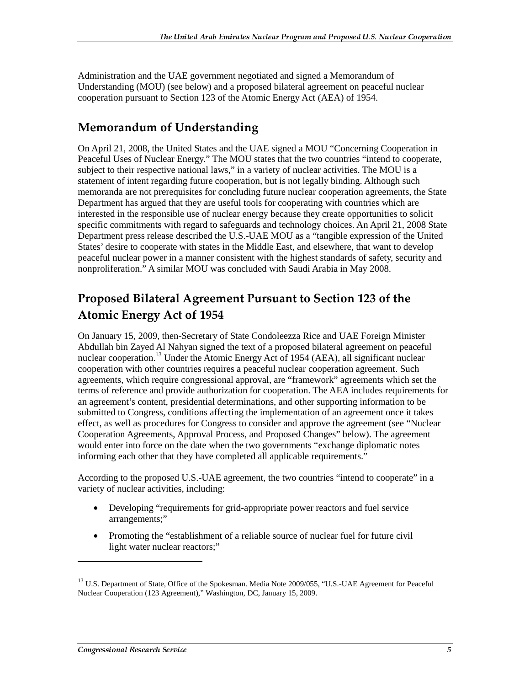Administration and the UAE government negotiated and signed a Memorandum of Understanding (MOU) (see below) and a proposed bilateral agreement on peaceful nuclear cooperation pursuant to Section 123 of the Atomic Energy Act (AEA) of 1954.

## **Memorandum of Understanding**

On April 21, 2008, the United States and the UAE signed a MOU "Concerning Cooperation in Peaceful Uses of Nuclear Energy." The MOU states that the two countries "intend to cooperate, subject to their respective national laws," in a variety of nuclear activities. The MOU is a statement of intent regarding future cooperation, but is not legally binding. Although such memoranda are not prerequisites for concluding future nuclear cooperation agreements, the State Department has argued that they are useful tools for cooperating with countries which are interested in the responsible use of nuclear energy because they create opportunities to solicit specific commitments with regard to safeguards and technology choices. An April 21, 2008 State Department press release described the U.S.-UAE MOU as a "tangible expression of the United States' desire to cooperate with states in the Middle East, and elsewhere, that want to develop peaceful nuclear power in a manner consistent with the highest standards of safety, security and nonproliferation." A similar MOU was concluded with Saudi Arabia in May 2008.

## Proposed Bilateral Agreement Pursuant to Section 123 of the Atomic Energy Act of 1954

On January 15, 2009, then-Secretary of State Condoleezza Rice and UAE Foreign Minister Abdullah bin Zayed Al Nahyan signed the text of a proposed bilateral agreement on peaceful nuclear cooperation.<sup>13</sup> Under the Atomic Energy Act of 1954 (AEA), all significant nuclear cooperation with other countries requires a peaceful nuclear cooperation agreement. Such agreements, which require congressional approval, are "framework" agreements which set the terms of reference and provide authorization for cooperation. The AEA includes requirements for an agreement's content, presidential determinations, and other supporting information to be submitted to Congress, conditions affecting the implementation of an agreement once it takes effect, as well as procedures for Congress to consider and approve the agreement (see "Nuclear Cooperation Agreements, Approval Process, and Proposed Changes" below). The agreement would enter into force on the date when the two governments "exchange diplomatic notes informing each other that they have completed all applicable requirements."

According to the proposed U.S.-UAE agreement, the two countries "intend to cooperate" in a variety of nuclear activities, including:

- Developing "requirements for grid-appropriate power reactors and fuel service arrangements;"
- Promoting the "establishment of a reliable source of nuclear fuel for future civil light water nuclear reactors;"

<sup>&</sup>lt;sup>13</sup> U.S. Department of State, Office of the Spokesman. Media Note 2009/055, "U.S.-UAE Agreement for Peaceful Nuclear Cooperation (123 Agreement)," Washington, DC, January 15, 2009.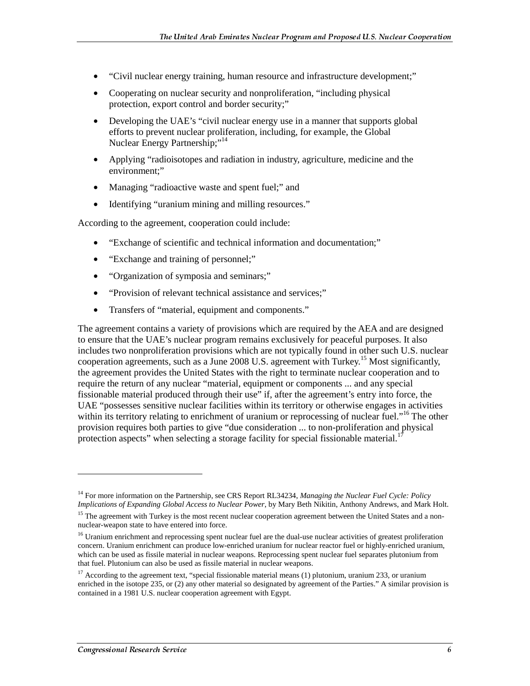- "Civil nuclear energy training, human resource and infrastructure development;"
- Cooperating on nuclear security and nonproliferation, "including physical protection, export control and border security;"
- Developing the UAE's "civil nuclear energy use in a manner that supports global efforts to prevent nuclear proliferation, including, for example, the Global Nuclear Energy Partnership;"<sup>14</sup>
- Applying "radioisotopes and radiation in industry, agriculture, medicine and the environment;"
- Managing "radioactive waste and spent fuel;" and
- Identifying "uranium mining and milling resources."

According to the agreement, cooperation could include:

- "Exchange of scientific and technical information and documentation;"
- "Exchange and training of personnel;"
- "Organization of symposia and seminars;"
- "Provision of relevant technical assistance and services;"
- Transfers of "material, equipment and components."

The agreement contains a variety of provisions which are required by the AEA and are designed to ensure that the UAE's nuclear program remains exclusively for peaceful purposes. It also includes two nonproliferation provisions which are not typically found in other such U.S. nuclear cooperation agreements, such as a June 2008 U.S. agreement with Turkey.<sup>15</sup> Most significantly, the agreement provides the United States with the right to terminate nuclear cooperation and to require the return of any nuclear "material, equipment or components ... and any special fissionable material produced through their use" if, after the agreement's entry into force, the UAE "possesses sensitive nuclear facilities within its territory or otherwise engages in activities within its territory relating to enrichment of uranium or reprocessing of nuclear fuel."<sup>16</sup> The other provision requires both parties to give "due consideration ... to non-proliferation and physical protection aspects" when selecting a storage facility for special fissionable material.<sup>1</sup>

<sup>14</sup> For more information on the Partnership, see CRS Report RL34234, *Managing the Nuclear Fuel Cycle: Policy Implications of Expanding Global Access to Nuclear Power*, by Mary Beth Nikitin, Anthony Andrews, and Mark Holt.

<sup>&</sup>lt;sup>15</sup> The agreement with Turkey is the most recent nuclear cooperation agreement between the United States and a nonnuclear-weapon state to have entered into force.

<sup>&</sup>lt;sup>16</sup> Uranium enrichment and reprocessing spent nuclear fuel are the dual-use nuclear activities of greatest proliferation concern. Uranium enrichment can produce low-enriched uranium for nuclear reactor fuel or highly-enriched uranium, which can be used as fissile material in nuclear weapons. Reprocessing spent nuclear fuel separates plutonium from that fuel. Plutonium can also be used as fissile material in nuclear weapons.

<sup>&</sup>lt;sup>17</sup> According to the agreement text, "special fissionable material means (1) plutonium, uranium 233, or uranium enriched in the isotope 235, or (2) any other material so designated by agreement of the Parties." A similar provision is contained in a 1981 U.S. nuclear cooperation agreement with Egypt.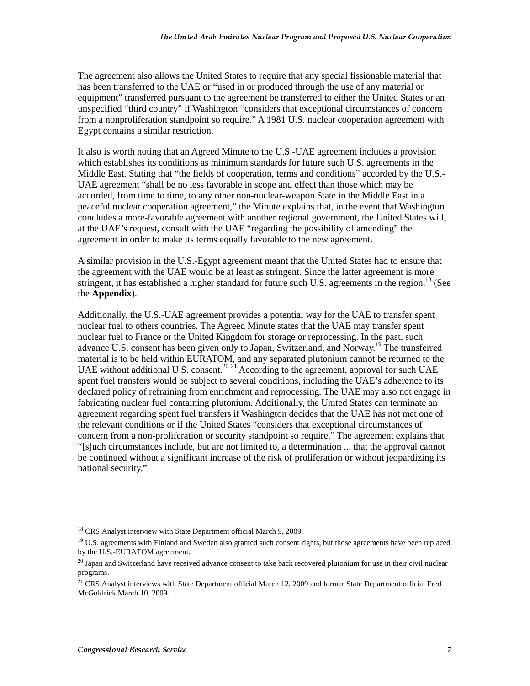The agreement also allows the United States to require that any special fissionable material that has been transferred to the UAE or "used in or produced through the use of any material or equipment" transferred pursuant to the agreement be transferred to either the United States or an unspecified "third country" if Washington "considers that exceptional circumstances of concern from a nonproliferation standpoint so require." A 1981 U.S. nuclear cooperation agreement with Egypt contains a similar restriction.

It also is worth noting that an Agreed Minute to the U.S.-UAE agreement includes a provision which establishes its conditions as minimum standards for future such U.S. agreements in the Middle East. Stating that "the fields of cooperation, terms and conditions" accorded by the U.S.- UAE agreement "shall be no less favorable in scope and effect than those which may be accorded, from time to time, to any other non-nuclear-weapon State in the Middle East in a peaceful nuclear cooperation agreement," the Minute explains that, in the event that Washington concludes a more-favorable agreement with another regional government, the United States will, at the UAE's request, consult with the UAE "regarding the possibility of amending" the agreement in order to make its terms equally favorable to the new agreement.

A similar provision in the U.S.-Egypt agreement meant that the United States had to ensure that the agreement with the UAE would be at least as stringent. Since the latter agreement is more stringent, it has established a higher standard for future such U.S. agreements in the region.<sup>18</sup> (See the **Appendix**).

Additionally, the U.S.-UAE agreement provides a potential way for the UAE to transfer spent nuclear fuel to others countries. The Agreed Minute states that the UAE may transfer spent nuclear fuel to France or the United Kingdom for storage or reprocessing. In the past, such advance U.S. consent has been given only to Japan, Switzerland, and Norway.<sup>19</sup> The transferred material is to be held within EURATOM, and any separated plutonium cannot be returned to the UAE without additional U.S. consent.<sup>20 21</sup> According to the agreement, approval for such UAE spent fuel transfers would be subject to several conditions, including the UAE's adherence to its declared policy of refraining from enrichment and reprocessing. The UAE may also not engage in fabricating nuclear fuel containing plutonium. Additionally, the United States can terminate an agreement regarding spent fuel transfers if Washington decides that the UAE has not met one of the relevant conditions or if the United States "considers that exceptional circumstances of concern from a non-proliferation or security standpoint so require." The agreement explains that "[s]uch circumstances include, but are not limited to, a determination ... that the approval cannot be continued without a significant increase of the risk of proliferation or without jeopardizing its national security."

<sup>&</sup>lt;sup>18</sup> CRS Analyst interview with State Department official March 9, 2009.

<sup>&</sup>lt;sup>19</sup> U.S. agreements with Finland and Sweden also granted such consent rights, but those agreements have been replaced by the U.S.-EURATOM agreement.

 $20$  Japan and Switzerland have received advance consent to take back recovered plutonium for use in their civil nuclear programs.

<sup>&</sup>lt;sup>21</sup> CRS Analyst interviews with State Department official March 12, 2009 and former State Department official Fred McGoldrick March 10, 2009.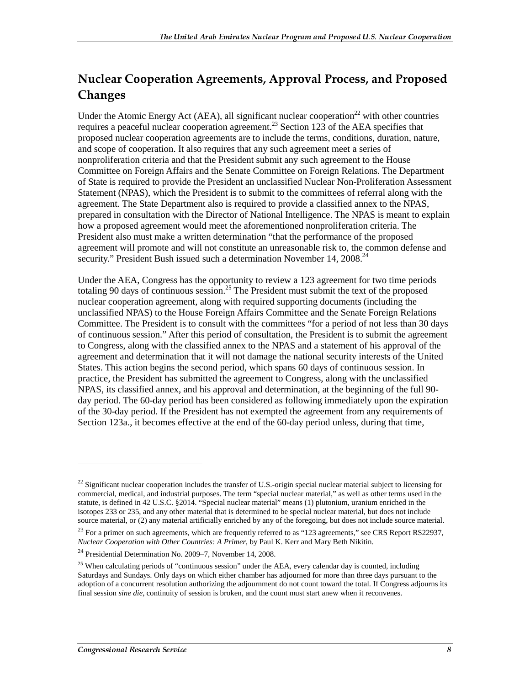## Nuclear Cooperation Agreements, Approval Process, and Proposed Changes

Under the Atomic Energy Act (AEA), all significant nuclear cooperation<sup>22</sup> with other countries requires a peaceful nuclear cooperation agreement.<sup>23</sup> Section 123 of the AEA specifies that proposed nuclear cooperation agreements are to include the terms, conditions, duration, nature, and scope of cooperation. It also requires that any such agreement meet a series of nonproliferation criteria and that the President submit any such agreement to the House Committee on Foreign Affairs and the Senate Committee on Foreign Relations. The Department of State is required to provide the President an unclassified Nuclear Non-Proliferation Assessment Statement (NPAS), which the President is to submit to the committees of referral along with the agreement. The State Department also is required to provide a classified annex to the NPAS, prepared in consultation with the Director of National Intelligence. The NPAS is meant to explain how a proposed agreement would meet the aforementioned nonproliferation criteria. The President also must make a written determination "that the performance of the proposed agreement will promote and will not constitute an unreasonable risk to, the common defense and security." President Bush issued such a determination November 14, 2008.<sup>24</sup>

Under the AEA, Congress has the opportunity to review a 123 agreement for two time periods totaling 90 days of continuous session.<sup>25</sup> The President must submit the text of the proposed nuclear cooperation agreement, along with required supporting documents (including the unclassified NPAS) to the House Foreign Affairs Committee and the Senate Foreign Relations Committee. The President is to consult with the committees "for a period of not less than 30 days of continuous session." After this period of consultation, the President is to submit the agreement to Congress, along with the classified annex to the NPAS and a statement of his approval of the agreement and determination that it will not damage the national security interests of the United States. This action begins the second period, which spans 60 days of continuous session. In practice, the President has submitted the agreement to Congress, along with the unclassified NPAS, its classified annex, and his approval and determination, at the beginning of the full 90 day period. The 60-day period has been considered as following immediately upon the expiration of the 30-day period. If the President has not exempted the agreement from any requirements of Section 123a., it becomes effective at the end of the 60-day period unless, during that time,

 $^{22}$  Significant nuclear cooperation includes the transfer of U.S.-origin special nuclear material subject to licensing for commercial, medical, and industrial purposes. The term "special nuclear material," as well as other terms used in the statute, is defined in 42 U.S.C. §2014. "Special nuclear material" means (1) plutonium, uranium enriched in the isotopes 233 or 235, and any other material that is determined to be special nuclear material, but does not include source material, or (2) any material artificially enriched by any of the foregoing, but does not include source material.

<sup>&</sup>lt;sup>23</sup> For a primer on such agreements, which are frequently referred to as "123 agreements," see CRS Report RS22937, *Nuclear Cooperation with Other Countries: A Primer*, by Paul K. Kerr and Mary Beth Nikitin.

<sup>24</sup> Presidential Determination No. 2009–7, November 14, 2008.

 $25$  When calculating periods of "continuous session" under the AEA, every calendar day is counted, including Saturdays and Sundays. Only days on which either chamber has adjourned for more than three days pursuant to the adoption of a concurrent resolution authorizing the adjournment do not count toward the total. If Congress adjourns its final session *sine die*, continuity of session is broken, and the count must start anew when it reconvenes.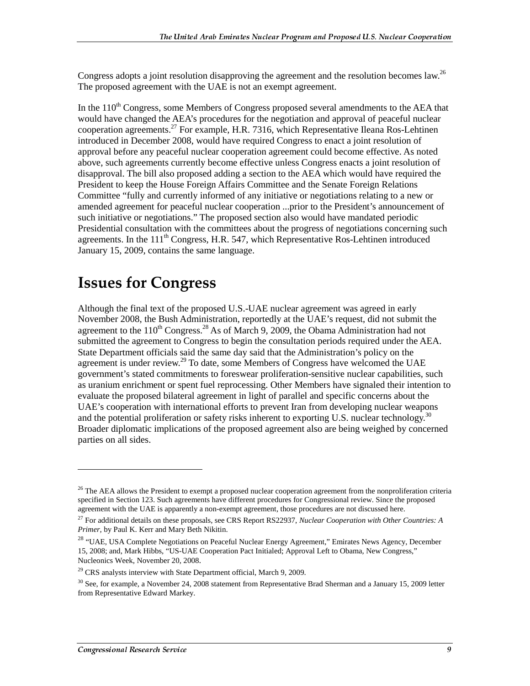Congress adopts a joint resolution disapproving the agreement and the resolution becomes law.<sup>26</sup> The proposed agreement with the UAE is not an exempt agreement.

In the 110<sup>th</sup> Congress, some Members of Congress proposed several amendments to the AEA that would have changed the AEA's procedures for the negotiation and approval of peaceful nuclear cooperation agreements.<sup>27</sup> For example, H.R. 7316, which Representative Ileana Ros-Lehtinen introduced in December 2008, would have required Congress to enact a joint resolution of approval before any peaceful nuclear cooperation agreement could become effective. As noted above, such agreements currently become effective unless Congress enacts a joint resolution of disapproval. The bill also proposed adding a section to the AEA which would have required the President to keep the House Foreign Affairs Committee and the Senate Foreign Relations Committee "fully and currently informed of any initiative or negotiations relating to a new or amended agreement for peaceful nuclear cooperation ...prior to the President's announcement of such initiative or negotiations." The proposed section also would have mandated periodic Presidential consultation with the committees about the progress of negotiations concerning such agreements. In the  $111<sup>th</sup>$  Congress, H.R. 547, which Representative Ros-Lehtinen introduced January 15, 2009, contains the same language.

# **Issues for Congress**

Although the final text of the proposed U.S.-UAE nuclear agreement was agreed in early November 2008, the Bush Administration, reportedly at the UAE's request, did not submit the agreement to the  $110^{th}$  Congress.<sup>28</sup> As of March 9, 2009, the Obama Administration had not submitted the agreement to Congress to begin the consultation periods required under the AEA. State Department officials said the same day said that the Administration's policy on the agreement is under review.<sup>29</sup> To date, some Members of Congress have welcomed the UAE government's stated commitments to foreswear proliferation-sensitive nuclear capabilities, such as uranium enrichment or spent fuel reprocessing. Other Members have signaled their intention to evaluate the proposed bilateral agreement in light of parallel and specific concerns about the UAE's cooperation with international efforts to prevent Iran from developing nuclear weapons and the potential proliferation or safety risks inherent to exporting U.S. nuclear technology.<sup>30</sup> Broader diplomatic implications of the proposed agreement also are being weighed by concerned parties on all sides.

<sup>&</sup>lt;sup>26</sup> The AEA allows the President to exempt a proposed nuclear cooperation agreement from the nonproliferation criteria specified in Section 123. Such agreements have different procedures for Congressional review. Since the proposed agreement with the UAE is apparently a non-exempt agreement, those procedures are not discussed here.

<sup>27</sup> For additional details on these proposals, see CRS Report RS22937, *Nuclear Cooperation with Other Countries: A Primer*, by Paul K. Kerr and Mary Beth Nikitin.

<sup>&</sup>lt;sup>28</sup> "UAE, USA Complete Negotiations on Peaceful Nuclear Energy Agreement," Emirates News Agency, December 15, 2008; and, Mark Hibbs, "US-UAE Cooperation Pact Initialed; Approval Left to Obama, New Congress," Nucleonics Week, November 20, 2008.<br><sup>29</sup> CRS analysts interview with State Department official, March 9, 2009.

 $30$  See, for example, a November 24, 2008 statement from Representative Brad Sherman and a January 15, 2009 letter from Representative Edward Markey.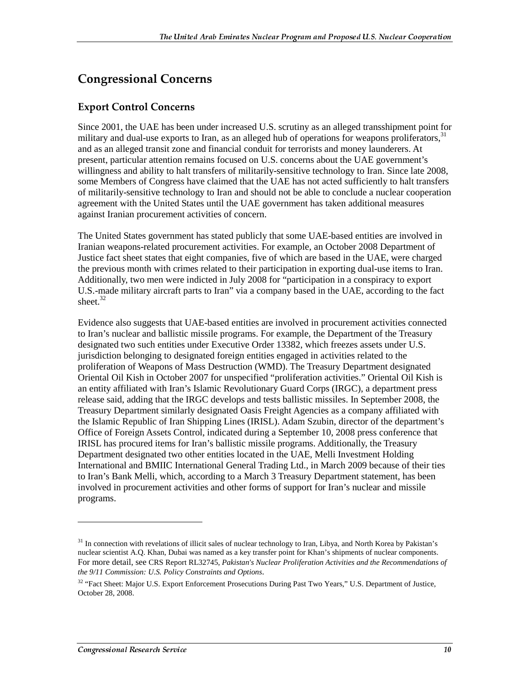## **Congressional Concerns**

### **Export Control Concerns**

Since 2001, the UAE has been under increased U.S. scrutiny as an alleged transshipment point for military and dual-use exports to Iran, as an alleged hub of operations for weapons proliferators,<sup>31</sup> and as an alleged transit zone and financial conduit for terrorists and money launderers. At present, particular attention remains focused on U.S. concerns about the UAE government's willingness and ability to halt transfers of militarily-sensitive technology to Iran. Since late 2008, some Members of Congress have claimed that the UAE has not acted sufficiently to halt transfers of militarily-sensitive technology to Iran and should not be able to conclude a nuclear cooperation agreement with the United States until the UAE government has taken additional measures against Iranian procurement activities of concern.

The United States government has stated publicly that some UAE-based entities are involved in Iranian weapons-related procurement activities. For example, an October 2008 Department of Justice fact sheet states that eight companies, five of which are based in the UAE, were charged the previous month with crimes related to their participation in exporting dual-use items to Iran. Additionally, two men were indicted in July 2008 for "participation in a conspiracy to export U.S.-made military aircraft parts to Iran" via a company based in the UAE, according to the fact sheet. $32$ 

Evidence also suggests that UAE-based entities are involved in procurement activities connected to Iran's nuclear and ballistic missile programs. For example, the Department of the Treasury designated two such entities under Executive Order 13382, which freezes assets under U.S. jurisdiction belonging to designated foreign entities engaged in activities related to the proliferation of Weapons of Mass Destruction (WMD). The Treasury Department designated Oriental Oil Kish in October 2007 for unspecified "proliferation activities." Oriental Oil Kish is an entity affiliated with Iran's Islamic Revolutionary Guard Corps (IRGC), a department press release said, adding that the IRGC develops and tests ballistic missiles. In September 2008, the Treasury Department similarly designated Oasis Freight Agencies as a company affiliated with the Islamic Republic of Iran Shipping Lines (IRISL). Adam Szubin, director of the department's Office of Foreign Assets Control, indicated during a September 10, 2008 press conference that IRISL has procured items for Iran's ballistic missile programs. Additionally, the Treasury Department designated two other entities located in the UAE, Melli Investment Holding International and BMIIC International General Trading Ltd., in March 2009 because of their ties to Iran's Bank Melli, which, according to a March 3 Treasury Department statement, has been involved in procurement activities and other forms of support for Iran's nuclear and missile programs.

<sup>&</sup>lt;sup>31</sup> In connection with revelations of illicit sales of nuclear technology to Iran, Libya, and North Korea by Pakistan's nuclear scientist A.Q. Khan, Dubai was named as a key transfer point for Khan's shipments of nuclear components. For more detail, see CRS Report RL32745, *Pakistan's Nuclear Proliferation Activities and the Recommendations of the 9/11 Commission: U.S. Policy Constraints and Options*.

<sup>&</sup>lt;sup>32</sup> "Fact Sheet: Major U.S. Export Enforcement Prosecutions During Past Two Years," U.S. Department of Justice, October 28, 2008.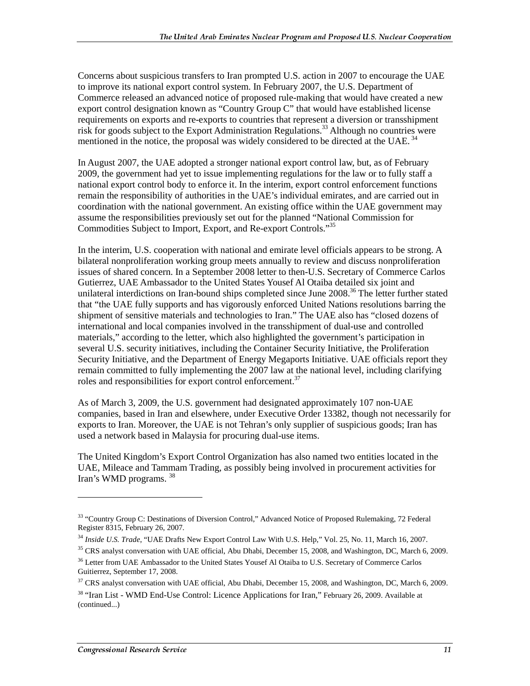Concerns about suspicious transfers to Iran prompted U.S. action in 2007 to encourage the UAE to improve its national export control system. In February 2007, the U.S. Department of Commerce released an advanced notice of proposed rule-making that would have created a new export control designation known as "Country Group C" that would have established license requirements on exports and re-exports to countries that represent a diversion or transshipment risk for goods subject to the Export Administration Regulations.<sup>33</sup> Although no countries were mentioned in the notice, the proposal was widely considered to be directed at the UAE.<sup>34</sup>

In August 2007, the UAE adopted a stronger national export control law, but, as of February 2009, the government had yet to issue implementing regulations for the law or to fully staff a national export control body to enforce it. In the interim, export control enforcement functions remain the responsibility of authorities in the UAE's individual emirates, and are carried out in coordination with the national government. An existing office within the UAE government may assume the responsibilities previously set out for the planned "National Commission for Commodities Subject to Import, Export, and Re-export Controls."35

In the interim, U.S. cooperation with national and emirate level officials appears to be strong. A bilateral nonproliferation working group meets annually to review and discuss nonproliferation issues of shared concern. In a September 2008 letter to then-U.S. Secretary of Commerce Carlos Gutierrez, UAE Ambassador to the United States Yousef Al Otaiba detailed six joint and unilateral interdictions on Iran-bound ships completed since June 2008.<sup>36</sup> The letter further stated that "the UAE fully supports and has vigorously enforced United Nations resolutions barring the shipment of sensitive materials and technologies to Iran." The UAE also has "closed dozens of international and local companies involved in the transshipment of dual-use and controlled materials," according to the letter, which also highlighted the government's participation in several U.S. security initiatives, including the Container Security Initiative, the Proliferation Security Initiative, and the Department of Energy Megaports Initiative. UAE officials report they remain committed to fully implementing the 2007 law at the national level, including clarifying roles and responsibilities for export control enforcement.<sup>37</sup>

As of March 3, 2009, the U.S. government had designated approximately 107 non-UAE companies, based in Iran and elsewhere, under Executive Order 13382, though not necessarily for exports to Iran. Moreover, the UAE is not Tehran's only supplier of suspicious goods; Iran has used a network based in Malaysia for procuring dual-use items.

The United Kingdom's Export Control Organization has also named two entities located in the UAE, Mileace and Tammam Trading, as possibly being involved in procurement activities for Iran's WMD programs. <sup>38</sup>

<sup>&</sup>lt;sup>33</sup> "Country Group C: Destinations of Diversion Control," Advanced Notice of Proposed Rulemaking, 72 Federal Register 8315, February 26, 2007.

<sup>34</sup> *Inside U.S. Trade*, "UAE Drafts New Export Control Law With U.S. Help," Vol. 25, No. 11, March 16, 2007.

<sup>&</sup>lt;sup>35</sup> CRS analyst conversation with UAE official, Abu Dhabi, December 15, 2008, and Washington, DC, March 6, 2009.

<sup>&</sup>lt;sup>36</sup> Letter from UAE Ambassador to the United States Yousef Al Otaiba to U.S. Secretary of Commerce Carlos Guitierrez, September 17, 2008.

<sup>&</sup>lt;sup>37</sup> CRS analyst conversation with UAE official, Abu Dhabi, December 15, 2008, and Washington, DC, March 6, 2009. <sup>38</sup> "Iran List - WMD End-Use Control: Licence Applications for Iran," February 26, 2009. Available at (continued...)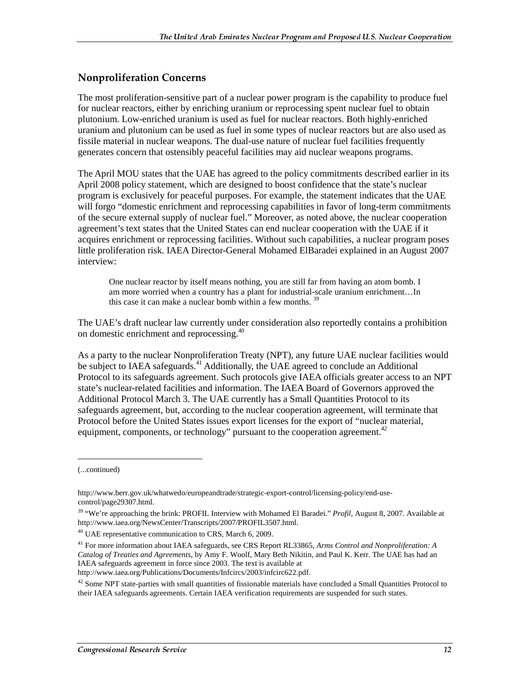### **Nonproliferation Concerns**

The most proliferation-sensitive part of a nuclear power program is the capability to produce fuel for nuclear reactors, either by enriching uranium or reprocessing spent nuclear fuel to obtain plutonium. Low-enriched uranium is used as fuel for nuclear reactors. Both highly-enriched uranium and plutonium can be used as fuel in some types of nuclear reactors but are also used as fissile material in nuclear weapons. The dual-use nature of nuclear fuel facilities frequently generates concern that ostensibly peaceful facilities may aid nuclear weapons programs.

The April MOU states that the UAE has agreed to the policy commitments described earlier in its April 2008 policy statement, which are designed to boost confidence that the state's nuclear program is exclusively for peaceful purposes. For example, the statement indicates that the UAE will forgo "domestic enrichment and reprocessing capabilities in favor of long-term commitments of the secure external supply of nuclear fuel." Moreover, as noted above, the nuclear cooperation agreement's text states that the United States can end nuclear cooperation with the UAE if it acquires enrichment or reprocessing facilities. Without such capabilities, a nuclear program poses little proliferation risk. IAEA Director-General Mohamed ElBaradei explained in an August 2007 interview:

One nuclear reactor by itself means nothing, you are still far from having an atom bomb. I am more worried when a country has a plant for industrial-scale uranium enrichment…In this case it can make a nuclear bomb within a few months.  $3^{\circ}$ 

The UAE's draft nuclear law currently under consideration also reportedly contains a prohibition on domestic enrichment and reprocessing.<sup>40</sup>

As a party to the nuclear Nonproliferation Treaty (NPT), any future UAE nuclear facilities would be subject to IAEA safeguards.<sup>41</sup> Additionally, the UAE agreed to conclude an Additional Protocol to its safeguards agreement. Such protocols give IAEA officials greater access to an NPT state's nuclear-related facilities and information. The IAEA Board of Governors approved the Additional Protocol March 3. The UAE currently has a Small Quantities Protocol to its safeguards agreement, but, according to the nuclear cooperation agreement, will terminate that Protocol before the United States issues export licenses for the export of "nuclear material, equipment, components, or technology" pursuant to the cooperation agreement.<sup>42</sup>

j

<sup>(...</sup>continued)

http://www.berr.gov.uk/whatwedo/europeandtrade/strategic-export-control/licensing-policy/end-usecontrol/page29307.html.

<sup>39 &</sup>quot;We're approaching the brink: PROFIL Interview with Mohamed El Baradei." *Profil*, August 8, 2007. Available at http://www.iaea.org/NewsCenter/Transcripts/2007/PROFIL3507.html.

<sup>40</sup> UAE representative communication to CRS, March 6, 2009.

<sup>41</sup> For more information about IAEA safeguards, see CRS Report RL33865, *Arms Control and Nonproliferation: A Catalog of Treaties and Agreements*, by Amy F. Woolf, Mary Beth Nikitin, and Paul K. Kerr. The UAE has had an IAEA safeguards agreement in force since 2003. The text is available at http://www.iaea.org/Publications/Documents/Infcircs/2003/infcirc622.pdf.

 $42$  Some NPT state-parties with small quantities of fissionable materials have concluded a Small Quantities Protocol to their IAEA safeguards agreements. Certain IAEA verification requirements are suspended for such states.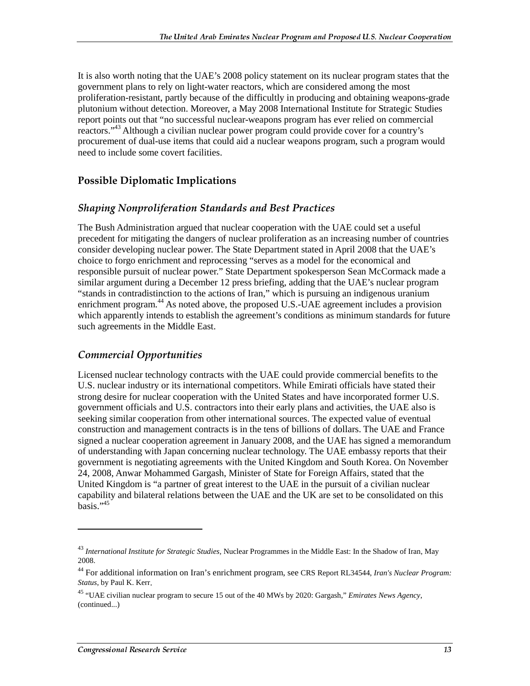It is also worth noting that the UAE's 2008 policy statement on its nuclear program states that the government plans to rely on light-water reactors, which are considered among the most proliferation-resistant, partly because of the difficultly in producing and obtaining weapons-grade plutonium without detection. Moreover, a May 2008 International Institute for Strategic Studies report points out that "no successful nuclear-weapons program has ever relied on commercial reactors."43 Although a civilian nuclear power program could provide cover for a country's procurement of dual-use items that could aid a nuclear weapons program, such a program would need to include some covert facilities.

### **Possible Diplomatic Implications**

### Shaping Nonproliferation Standards and Best Practices

The Bush Administration argued that nuclear cooperation with the UAE could set a useful precedent for mitigating the dangers of nuclear proliferation as an increasing number of countries consider developing nuclear power. The State Department stated in April 2008 that the UAE's choice to forgo enrichment and reprocessing "serves as a model for the economical and responsible pursuit of nuclear power." State Department spokesperson Sean McCormack made a similar argument during a December 12 press briefing, adding that the UAE's nuclear program "stands in contradistinction to the actions of Iran," which is pursuing an indigenous uranium enrichment program.<sup>44</sup> As noted above, the proposed U.S.-UAE agreement includes a provision which apparently intends to establish the agreement's conditions as minimum standards for future such agreements in the Middle East.

### **Commercial Opportunities**

Licensed nuclear technology contracts with the UAE could provide commercial benefits to the U.S. nuclear industry or its international competitors. While Emirati officials have stated their strong desire for nuclear cooperation with the United States and have incorporated former U.S. government officials and U.S. contractors into their early plans and activities, the UAE also is seeking similar cooperation from other international sources. The expected value of eventual construction and management contracts is in the tens of billions of dollars. The UAE and France signed a nuclear cooperation agreement in January 2008, and the UAE has signed a memorandum of understanding with Japan concerning nuclear technology. The UAE embassy reports that their government is negotiating agreements with the United Kingdom and South Korea. On November 24, 2008, Anwar Mohammed Gargash, Minister of State for Foreign Affairs, stated that the United Kingdom is "a partner of great interest to the UAE in the pursuit of a civilian nuclear capability and bilateral relations between the UAE and the UK are set to be consolidated on this  $basis$ .  $45$ 

<sup>43</sup> *International Institute for Strategic Studies,* Nuclear Programmes in the Middle East: In the Shadow of Iran, May 2008.

<sup>44</sup> For additional information on Iran's enrichment program, see CRS Report RL34544, *Iran's Nuclear Program: Status*, by Paul K. Kerr.

<sup>45 &</sup>quot;UAE civilian nuclear program to secure 15 out of the 40 MWs by 2020: Gargash," *Emirates News Agency*, (continued...)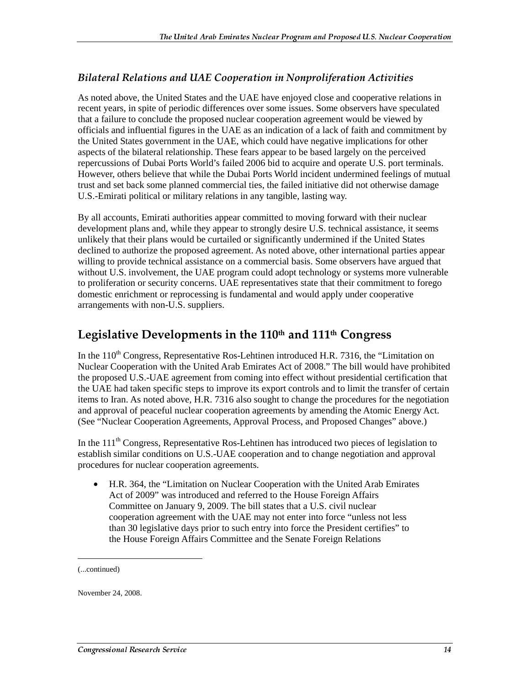### Bilateral Relations and UAE Cooperation in Nonproliferation Activities

As noted above, the United States and the UAE have enjoyed close and cooperative relations in recent years, in spite of periodic differences over some issues. Some observers have speculated that a failure to conclude the proposed nuclear cooperation agreement would be viewed by officials and influential figures in the UAE as an indication of a lack of faith and commitment by the United States government in the UAE, which could have negative implications for other aspects of the bilateral relationship. These fears appear to be based largely on the perceived repercussions of Dubai Ports World's failed 2006 bid to acquire and operate U.S. port terminals. However, others believe that while the Dubai Ports World incident undermined feelings of mutual trust and set back some planned commercial ties, the failed initiative did not otherwise damage U.S.-Emirati political or military relations in any tangible, lasting way.

By all accounts, Emirati authorities appear committed to moving forward with their nuclear development plans and, while they appear to strongly desire U.S. technical assistance, it seems unlikely that their plans would be curtailed or significantly undermined if the United States declined to authorize the proposed agreement. As noted above, other international parties appear willing to provide technical assistance on a commercial basis. Some observers have argued that without U.S. involvement, the UAE program could adopt technology or systems more vulnerable to proliferation or security concerns. UAE representatives state that their commitment to forego domestic enrichment or reprocessing is fundamental and would apply under cooperative arrangements with non-U.S. suppliers.

## Legislative Developments in the 110th and 111th Congress

In the 110<sup>th</sup> Congress, Representative Ros-Lehtinen introduced H.R. 7316, the "Limitation on Nuclear Cooperation with the United Arab Emirates Act of 2008." The bill would have prohibited the proposed U.S.-UAE agreement from coming into effect without presidential certification that the UAE had taken specific steps to improve its export controls and to limit the transfer of certain items to Iran. As noted above, H.R. 7316 also sought to change the procedures for the negotiation and approval of peaceful nuclear cooperation agreements by amending the Atomic Energy Act. (See "Nuclear Cooperation Agreements, Approval Process, and Proposed Changes" above.)

In the 111<sup>th</sup> Congress, Representative Ros-Lehtinen has introduced two pieces of legislation to establish similar conditions on U.S.-UAE cooperation and to change negotiation and approval procedures for nuclear cooperation agreements.

• H.R. 364, the "Limitation on Nuclear Cooperation with the United Arab Emirates Act of 2009" was introduced and referred to the House Foreign Affairs Committee on January 9, 2009. The bill states that a U.S. civil nuclear cooperation agreement with the UAE may not enter into force "unless not less than 30 legislative days prior to such entry into force the President certifies" to the House Foreign Affairs Committee and the Senate Foreign Relations

j

November 24, 2008.

<sup>(...</sup>continued)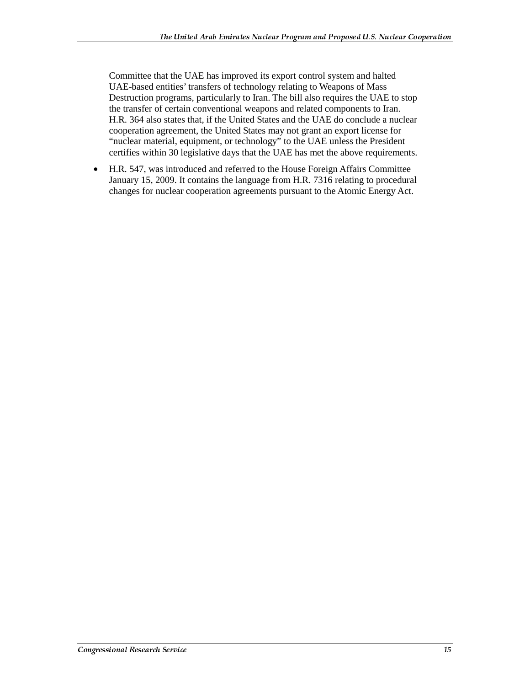Committee that the UAE has improved its export control system and halted UAE-based entities' transfers of technology relating to Weapons of Mass Destruction programs, particularly to Iran. The bill also requires the UAE to stop the transfer of certain conventional weapons and related components to Iran. H.R. 364 also states that, if the United States and the UAE do conclude a nuclear cooperation agreement, the United States may not grant an export license for "nuclear material, equipment, or technology" to the UAE unless the President certifies within 30 legislative days that the UAE has met the above requirements.

• H.R. 547, was introduced and referred to the House Foreign Affairs Committee January 15, 2009. It contains the language from H.R. 7316 relating to procedural changes for nuclear cooperation agreements pursuant to the Atomic Energy Act.